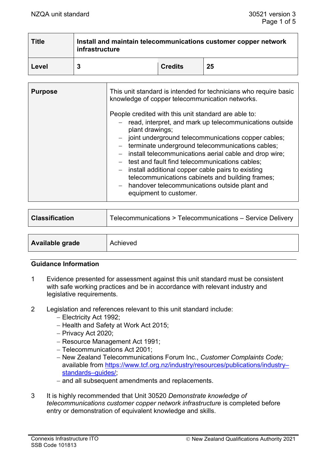| <b>Title</b> | Install and maintain telecommunications customer copper network<br>infrastructure |                |    |  |
|--------------|-----------------------------------------------------------------------------------|----------------|----|--|
| Level        |                                                                                   | <b>Credits</b> | 25 |  |

| <b>Purpose</b> | This unit standard is intended for technicians who require basic<br>knowledge of copper telecommunication networks.                                                                                                                                                                                                                                                                                                                                                                                                                                         |
|----------------|-------------------------------------------------------------------------------------------------------------------------------------------------------------------------------------------------------------------------------------------------------------------------------------------------------------------------------------------------------------------------------------------------------------------------------------------------------------------------------------------------------------------------------------------------------------|
|                | People credited with this unit standard are able to:<br>- read, interpret, and mark up telecommunications outside<br>plant drawings;<br>- joint underground telecommunications copper cables;<br>- terminate underground telecommunications cables;<br>- install telecommunications aerial cable and drop wire;<br>- test and fault find telecommunications cables;<br>- install additional copper cable pairs to existing<br>telecommunications cabinets and building frames;<br>- handover telecommunications outside plant and<br>equipment to customer. |

| <b>Classification</b>  | Telecommunications > Telecommunications - Service Delivery |
|------------------------|------------------------------------------------------------|
|                        |                                                            |
| <b>Available grade</b> | Achieved                                                   |

#### **Guidance Information**

- 1 Evidence presented for assessment against this unit standard must be consistent with safe working practices and be in accordance with relevant industry and legislative requirements.
- 2 Legislation and references relevant to this unit standard include:
	- − Electricity Act 1992;
	- − Health and Safety at Work Act 2015;
	- − Privacy Act 2020;
	- − Resource Management Act 1991;
	- − Telecommunications Act 2001;
	- − New Zealand Telecommunications Forum Inc., *Customer Complaints Code;*  available from [https://www.tcf.org.nz/industry/resources/publications/industry–](https://www.tcf.org.nz/industry/resources/publications/industry-standards-guides/) standards–guides/
	- − and all subsequent amendments and replacements.
- 3 It is highly recommended that Unit 30520 *Demonstrate knowledge of telecommunications customer copper network infrastructure* is completed before entry or demonstration of equivalent knowledge and skills.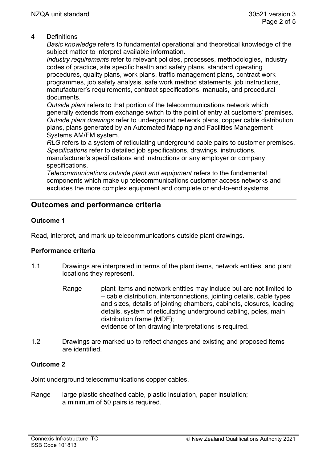#### 4 Definitions

*Basic knowledge* refers to fundamental operational and theoretical knowledge of the subject matter to interpret available information.

*Industry requirements* refer to relevant policies, processes, methodologies, industry codes of practice, site specific health and safety plans, standard operating procedures, quality plans, work plans, traffic management plans, contract work programmes, job safety analysis, safe work method statements, job instructions, manufacturer's requirements, contract specifications, manuals, and procedural documents.

*Outside plant* refers to that portion of the telecommunications network which generally extends from exchange switch to the point of entry at customers' premises. *Outside plant drawings* refer to underground network plans, copper cable distribution plans, plans generated by an Automated Mapping and Facilities Management Systems AM/FM system.

*RLG* refers to a system of reticulating underground cable pairs to customer premises. *Specifications* refer to detailed job specifications, drawings, instructions, manufacturer's specifications and instructions or any employer or company

specifications.

*Telecommunications outside plant and equipment* refers to the fundamental components which make up telecommunications customer access networks and excludes the more complex equipment and complete or end-to-end systems.

# **Outcomes and performance criteria**

## **Outcome 1**

Read, interpret, and mark up telecommunications outside plant drawings.

#### **Performance criteria**

- 1.1 Drawings are interpreted in terms of the plant items, network entities, and plant locations they represent.
	- Range plant items and network entities may include but are not limited to – cable distribution, interconnections, jointing details, cable types and sizes, details of jointing chambers, cabinets, closures, loading details, system of reticulating underground cabling, poles, main distribution frame (MDF); evidence of ten drawing interpretations is required.
- 1.2 Drawings are marked up to reflect changes and existing and proposed items are identified.

#### **Outcome 2**

Joint underground telecommunications copper cables.

Range large plastic sheathed cable, plastic insulation, paper insulation; a minimum of 50 pairs is required.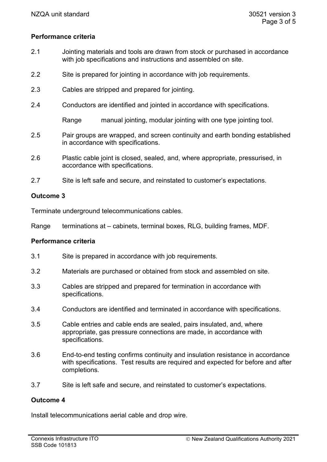#### **Performance criteria**

- 2.1 Jointing materials and tools are drawn from stock or purchased in accordance with job specifications and instructions and assembled on site.
- 2.2 Site is prepared for jointing in accordance with job requirements.
- 2.3 Cables are stripped and prepared for jointing.
- 2.4 Conductors are identified and jointed in accordance with specifications.

Range manual jointing, modular jointing with one type jointing tool.

- 2.5 Pair groups are wrapped, and screen continuity and earth bonding established in accordance with specifications.
- 2.6 Plastic cable joint is closed, sealed, and, where appropriate, pressurised, in accordance with specifications.
- 2.7 Site is left safe and secure, and reinstated to customer's expectations.

#### **Outcome 3**

Terminate underground telecommunications cables.

Range terminations at – cabinets, terminal boxes, RLG, building frames, MDF.

#### **Performance criteria**

- 3.1 Site is prepared in accordance with job requirements.
- 3.2 Materials are purchased or obtained from stock and assembled on site.
- 3.3 Cables are stripped and prepared for termination in accordance with specifications.
- 3.4 Conductors are identified and terminated in accordance with specifications.
- 3.5 Cable entries and cable ends are sealed, pairs insulated, and, where appropriate, gas pressure connections are made, in accordance with specifications.
- 3.6 End-to-end testing confirms continuity and insulation resistance in accordance with specifications. Test results are required and expected for before and after completions.
- 3.7 Site is left safe and secure, and reinstated to customer's expectations.

#### **Outcome 4**

Install telecommunications aerial cable and drop wire.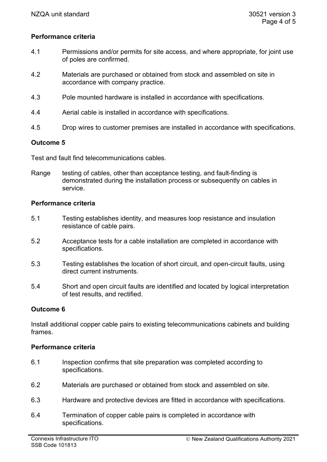#### **Performance criteria**

- 4.1 Permissions and/or permits for site access, and where appropriate, for joint use of poles are confirmed.
- 4.2 Materials are purchased or obtained from stock and assembled on site in accordance with company practice.
- 4.3 Pole mounted hardware is installed in accordance with specifications.
- 4.4 Aerial cable is installed in accordance with specifications.
- 4.5 Drop wires to customer premises are installed in accordance with specifications.

## **Outcome 5**

Test and fault find telecommunications cables.

Range testing of cables, other than acceptance testing, and fault-finding is demonstrated during the installation process or subsequently on cables in service.

#### **Performance criteria**

- 5.1 Testing establishes identity, and measures loop resistance and insulation resistance of cable pairs.
- 5.2 Acceptance tests for a cable installation are completed in accordance with specifications.
- 5.3 Testing establishes the location of short circuit, and open-circuit faults, using direct current instruments.
- 5.4 Short and open circuit faults are identified and located by logical interpretation of test results, and rectified.

#### **Outcome 6**

Install additional copper cable pairs to existing telecommunications cabinets and building frames.

#### **Performance criteria**

- 6.1 Inspection confirms that site preparation was completed according to specifications.
- 6.2 Materials are purchased or obtained from stock and assembled on site.
- 6.3 Hardware and protective devices are fitted in accordance with specifications.
- 6.4 Termination of copper cable pairs is completed in accordance with specifications.